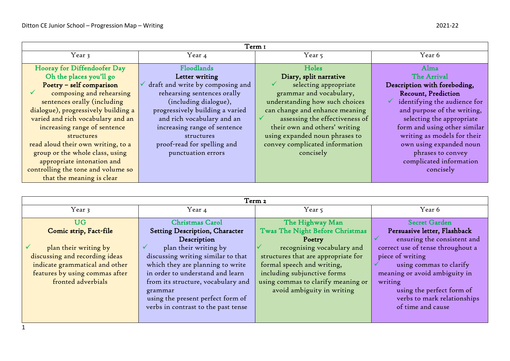| Term 1                              |                                  |                                |                                            |
|-------------------------------------|----------------------------------|--------------------------------|--------------------------------------------|
| Year 3                              | Year 4                           | Year 5                         | Year 6                                     |
| Hooray for Diffendoofer Day         | Floodlands                       | Holes                          | Alma                                       |
| Oh the places you'll go             | Letter writing                   | Diary, split narrative         | The Arrival                                |
| Poetry - self comparison            | draft and write by composing and | selecting appropriate          | Description with foreboding,               |
| composing and rehearsing            | rehearsing sentences orally      | grammar and vocabulary,        | <b>Recount, Prediction</b>                 |
| sentences orally (including         | (including dialogue),            | understanding how such choices | identifying the audience for<br>$\sqrt{ }$ |
| dialogue), progressively building a | progressively building a varied  | can change and enhance meaning | and purpose of the writing,                |
| varied and rich vocabulary and an   | and rich vocabulary and an       | assessing the effectiveness of | selecting the appropriate                  |
| increasing range of sentence        | increasing range of sentence     | their own and others' writing  | form and using other similar               |
| structures                          | structures                       | using expanded noun phrases to | writing as models for their                |
| read aloud their own writing, to a  | proof-read for spelling and      | convey complicated information | own using expanded noun                    |
| group or the whole class, using     | punctuation errors               | concisely                      | phrases to convey                          |
| appropriate intonation and          |                                  |                                | complicated information                    |
| controlling the tone and volume so  |                                  |                                | concisely                                  |
| that the meaning is clear           |                                  |                                |                                            |

| Term 2                         |                                     |                                     |                                   |
|--------------------------------|-------------------------------------|-------------------------------------|-----------------------------------|
| Year 3                         | Year 4                              | Year 5                              | Year 6                            |
|                                |                                     |                                     |                                   |
| <b>UG</b>                      | <b>Christmas Carol</b>              | The Highway Man                     | <b>Secret Garden</b>              |
| Comic strip, Fact-file         | Setting Description, Character      | Twas The Night Before Christmas     | Persuasive letter, Flashback      |
|                                | Description                         | Poetry                              | ensuring the consistent and       |
| plan their writing by          | plan their writing by               | recognising vocabulary and          | correct use of tense throughout a |
| discussing and recording ideas | discussing writing similar to that  | structures that are appropriate for | piece of writing                  |
| indicate grammatical and other | which they are planning to write    | formal speech and writing,          | using commas to clarify           |
| features by using commas after | in order to understand and learn    | including subjunctive forms         | meaning or avoid ambiguity in     |
| fronted adverbials             | from its structure, vocabulary and  | using commas to clarify meaning or  | writing                           |
|                                | grammar                             | avoid ambiguity in writing          | using the perfect form of         |
|                                | using the present perfect form of   |                                     | verbs to mark relationships       |
|                                | verbs in contrast to the past tense |                                     | of time and cause                 |
|                                |                                     |                                     |                                   |
|                                |                                     |                                     |                                   |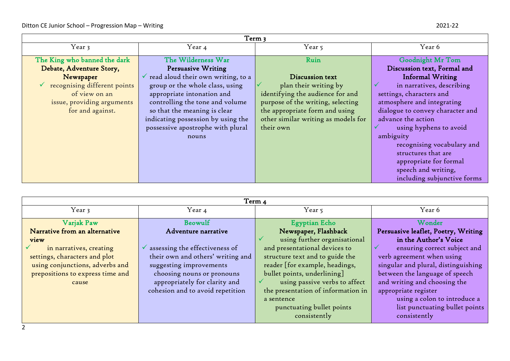| Term 3                       |                                                 |                                     |                                  |
|------------------------------|-------------------------------------------------|-------------------------------------|----------------------------------|
| Year 3                       | Year 4                                          | Year 5                              | Year 6                           |
| The King who banned the dark | The Wilderness War                              | Ruin                                | <b>Goodnight Mr Tom</b>          |
| Debate, Adventure Story,     | Persuasive Writing                              |                                     | Discussion text, Formal and      |
| Newspaper                    | $\checkmark$ read aloud their own writing, to a | Discussion text                     | <b>Informal Writing</b>          |
| recognising different points | group or the whole class, using                 | plan their writing by               | in narratives, describing        |
| of view on an                | appropriate intonation and                      | identifying the audience for and    | settings, characters and         |
| issue, providing arguments   | controlling the tone and volume                 | purpose of the writing, selecting   | atmosphere and integrating       |
| for and against.             | so that the meaning is clear                    | the appropriate form and using      | dialogue to convey character and |
|                              | indicating possession by using the              | other similar writing as models for | advance the action               |
|                              | possessive apostrophe with plural               | their own                           | using hyphens to avoid           |
|                              | nouns                                           |                                     | ambiguity                        |
|                              |                                                 |                                     | recognising vocabulary and       |
|                              |                                                 |                                     | structures that are              |
|                              |                                                 |                                     | appropriate for formal           |
|                              |                                                 |                                     | speech and writing,              |
|                              |                                                 |                                     | including subjunctive forms      |

| Term 4                           |                                             |                                    |                                     |
|----------------------------------|---------------------------------------------|------------------------------------|-------------------------------------|
| Year 3                           | Year 4                                      | Year 5                             | Year 6                              |
|                                  | Beowulf                                     |                                    | Wonder                              |
| Varjak Paw                       |                                             | Egyptian Echo                      |                                     |
| Narrative from an alternative    | Adventure narrative                         | Newspaper, Flashback               | Persuasive leaflet, Poetry, Writing |
| view                             |                                             | using further organisational       | in the Author's Voice               |
| in narratives, creating          | $\checkmark$ assessing the effectiveness of | and presentational devices to      | ensuring correct subject and        |
| settings, characters and plot    | their own and others' writing and           | structure text and to guide the    | verb agreement when using           |
| using conjunctions, adverbs and  | suggesting improvements                     | reader [for example, headings,     | singular and plural, distinguishing |
| prepositions to express time and | choosing nouns or pronouns                  | bullet points, underlining]        | between the language of speech      |
| cause                            | appropriately for clarity and               | using passive verbs to affect      | and writing and choosing the        |
|                                  | cohesion and to avoid repetition            | the presentation of information in | appropriate register                |
|                                  |                                             | a sentence                         | using a colon to introduce a        |
|                                  |                                             | punctuating bullet points          | list punctuating bullet points      |
|                                  |                                             | consistently                       | consistently                        |